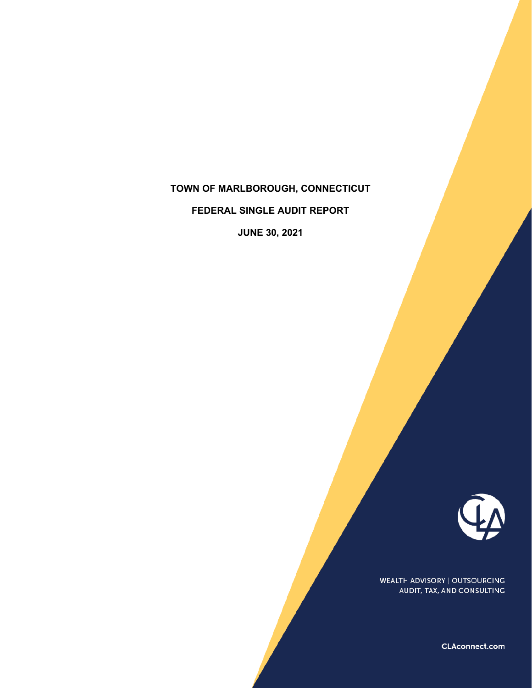# **TOWN OF MARLBOROUGH, CONNECTICUT**

**FEDERAL SINGLE AUDIT REPORT** 

**JUNE 30, 2021** 



WEALTH ADVISORY | OUTSOURCING AUDIT, TAX, AND CONSULTING

CLAconnect.com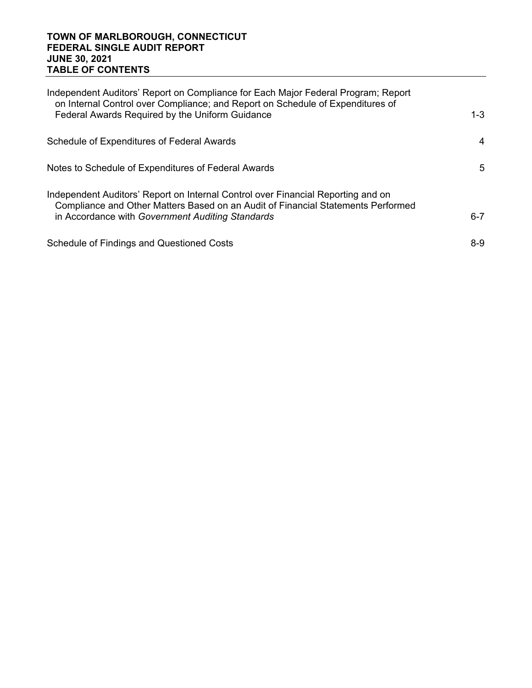#### **TOWN OF MARLBOROUGH, CONNECTICUT FEDERAL SINGLE AUDIT REPORT JUNE 30, 2021 TABLE OF CONTENTS**

| Independent Auditors' Report on Compliance for Each Major Federal Program; Report<br>on Internal Control over Compliance; and Report on Schedule of Expenditures of<br>Federal Awards Required by the Uniform Guidance   | $1 - 3$ |
|--------------------------------------------------------------------------------------------------------------------------------------------------------------------------------------------------------------------------|---------|
| Schedule of Expenditures of Federal Awards                                                                                                                                                                               | 4       |
| Notes to Schedule of Expenditures of Federal Awards                                                                                                                                                                      | 5       |
| Independent Auditors' Report on Internal Control over Financial Reporting and on<br>Compliance and Other Matters Based on an Audit of Financial Statements Performed<br>in Accordance with Government Auditing Standards | 6-7     |
| Schedule of Findings and Questioned Costs                                                                                                                                                                                | 8-9     |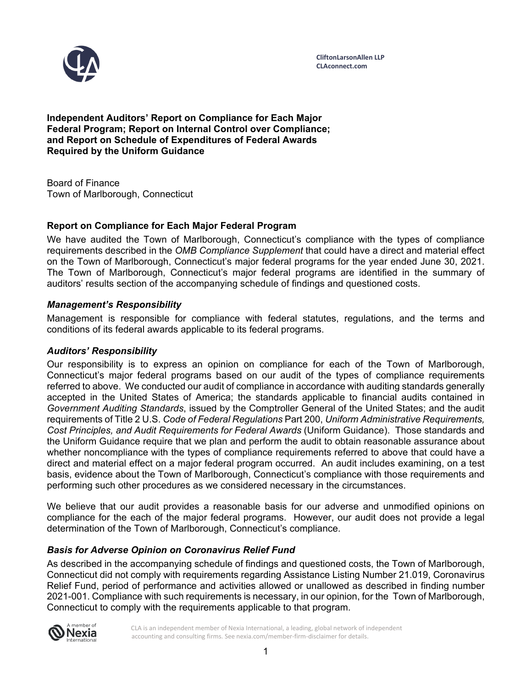

**Independent Auditors' Report on Compliance for Each Major Federal Program; Report on Internal Control over Compliance; and Report on Schedule of Expenditures of Federal Awards Required by the Uniform Guidance** 

Board of Finance Town of Marlborough, Connecticut

## **Report on Compliance for Each Major Federal Program**

We have audited the Town of Marlborough, Connecticut's compliance with the types of compliance requirements described in the *OMB Compliance Supplement* that could have a direct and material effect on the Town of Marlborough, Connecticut's major federal programs for the year ended June 30, 2021. The Town of Marlborough, Connecticut's major federal programs are identified in the summary of auditors' results section of the accompanying schedule of findings and questioned costs.

#### *Management's Responsibility*

Management is responsible for compliance with federal statutes, regulations, and the terms and conditions of its federal awards applicable to its federal programs.

#### *Auditors' Responsibility*

Our responsibility is to express an opinion on compliance for each of the Town of Marlborough, Connecticut's major federal programs based on our audit of the types of compliance requirements referred to above. We conducted our audit of compliance in accordance with auditing standards generally accepted in the United States of America; the standards applicable to financial audits contained in *Government Auditing Standards*, issued by the Comptroller General of the United States; and the audit requirements of Title 2 U.S. *Code of Federal Regulations* Part 200, *Uniform Administrative Requirements, Cost Principles, and Audit Requirements for Federal Awards* (Uniform Guidance). Those standards and the Uniform Guidance require that we plan and perform the audit to obtain reasonable assurance about whether noncompliance with the types of compliance requirements referred to above that could have a direct and material effect on a major federal program occurred. An audit includes examining, on a test basis, evidence about the Town of Marlborough, Connecticut's compliance with those requirements and performing such other procedures as we considered necessary in the circumstances.

We believe that our audit provides a reasonable basis for our adverse and unmodified opinions on compliance for the each of the major federal programs. However, our audit does not provide a legal determination of the Town of Marlborough, Connecticut's compliance.

## *Basis for Adverse Opinion on Coronavirus Relief Fund*

As described in the accompanying schedule of findings and questioned costs, the Town of Marlborough, Connecticut did not comply with requirements regarding Assistance Listing Number 21.019, Coronavirus Relief Fund, period of performance and activities allowed or unallowed as described in finding number 2021-001. Compliance with such requirements is necessary, in our opinion, for the Town of Marlborough, Connecticut to comply with the requirements applicable to that program.

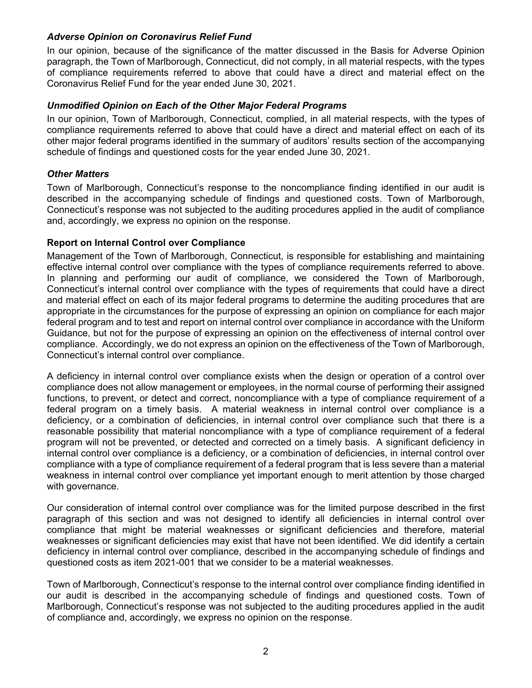#### *Adverse Opinion on Coronavirus Relief Fund*

In our opinion, because of the significance of the matter discussed in the Basis for Adverse Opinion paragraph, the Town of Marlborough, Connecticut, did not comply, in all material respects, with the types of compliance requirements referred to above that could have a direct and material effect on the Coronavirus Relief Fund for the year ended June 30, 2021.

#### *Unmodified Opinion on Each of the Other Major Federal Programs*

In our opinion, Town of Marlborough, Connecticut, complied, in all material respects, with the types of compliance requirements referred to above that could have a direct and material effect on each of its other major federal programs identified in the summary of auditors' results section of the accompanying schedule of findings and questioned costs for the year ended June 30, 2021.

#### *Other Matters*

Town of Marlborough, Connecticut's response to the noncompliance finding identified in our audit is described in the accompanying schedule of findings and questioned costs. Town of Marlborough, Connecticut's response was not subjected to the auditing procedures applied in the audit of compliance and, accordingly, we express no opinion on the response.

#### **Report on Internal Control over Compliance**

Management of the Town of Marlborough, Connecticut, is responsible for establishing and maintaining effective internal control over compliance with the types of compliance requirements referred to above. In planning and performing our audit of compliance, we considered the Town of Marlborough, Connecticut's internal control over compliance with the types of requirements that could have a direct and material effect on each of its major federal programs to determine the auditing procedures that are appropriate in the circumstances for the purpose of expressing an opinion on compliance for each major federal program and to test and report on internal control over compliance in accordance with the Uniform Guidance, but not for the purpose of expressing an opinion on the effectiveness of internal control over compliance. Accordingly, we do not express an opinion on the effectiveness of the Town of Marlborough, Connecticut's internal control over compliance.

A deficiency in internal control over compliance exists when the design or operation of a control over compliance does not allow management or employees, in the normal course of performing their assigned functions, to prevent, or detect and correct, noncompliance with a type of compliance requirement of a federal program on a timely basis. A material weakness in internal control over compliance is a deficiency, or a combination of deficiencies, in internal control over compliance such that there is a reasonable possibility that material noncompliance with a type of compliance requirement of a federal program will not be prevented, or detected and corrected on a timely basis. A significant deficiency in internal control over compliance is a deficiency, or a combination of deficiencies, in internal control over compliance with a type of compliance requirement of a federal program that is less severe than a material weakness in internal control over compliance yet important enough to merit attention by those charged with governance.

Our consideration of internal control over compliance was for the limited purpose described in the first paragraph of this section and was not designed to identify all deficiencies in internal control over compliance that might be material weaknesses or significant deficiencies and therefore, material weaknesses or significant deficiencies may exist that have not been identified. We did identify a certain deficiency in internal control over compliance, described in the accompanying schedule of findings and questioned costs as item 2021-001 that we consider to be a material weaknesses.

Town of Marlborough, Connecticut's response to the internal control over compliance finding identified in our audit is described in the accompanying schedule of findings and questioned costs. Town of Marlborough, Connecticut's response was not subjected to the auditing procedures applied in the audit of compliance and, accordingly, we express no opinion on the response.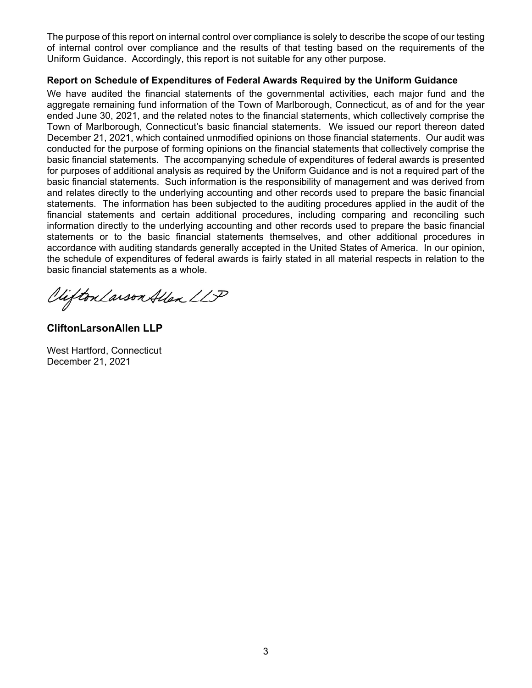The purpose of this report on internal control over compliance is solely to describe the scope of our testing of internal control over compliance and the results of that testing based on the requirements of the Uniform Guidance. Accordingly, this report is not suitable for any other purpose.

#### **Report on Schedule of Expenditures of Federal Awards Required by the Uniform Guidance**

We have audited the financial statements of the governmental activities, each major fund and the aggregate remaining fund information of the Town of Marlborough, Connecticut, as of and for the year ended June 30, 2021, and the related notes to the financial statements, which collectively comprise the Town of Marlborough, Connecticut's basic financial statements. We issued our report thereon dated December 21, 2021, which contained unmodified opinions on those financial statements. Our audit was conducted for the purpose of forming opinions on the financial statements that collectively comprise the basic financial statements. The accompanying schedule of expenditures of federal awards is presented for purposes of additional analysis as required by the Uniform Guidance and is not a required part of the basic financial statements. Such information is the responsibility of management and was derived from and relates directly to the underlying accounting and other records used to prepare the basic financial statements. The information has been subjected to the auditing procedures applied in the audit of the financial statements and certain additional procedures, including comparing and reconciling such information directly to the underlying accounting and other records used to prepare the basic financial statements or to the basic financial statements themselves, and other additional procedures in accordance with auditing standards generally accepted in the United States of America. In our opinion, the schedule of expenditures of federal awards is fairly stated in all material respects in relation to the basic financial statements as a whole.

Viifton Larson Allen LLP

**CliftonLarsonAllen LLP** 

West Hartford, Connecticut December 21, 2021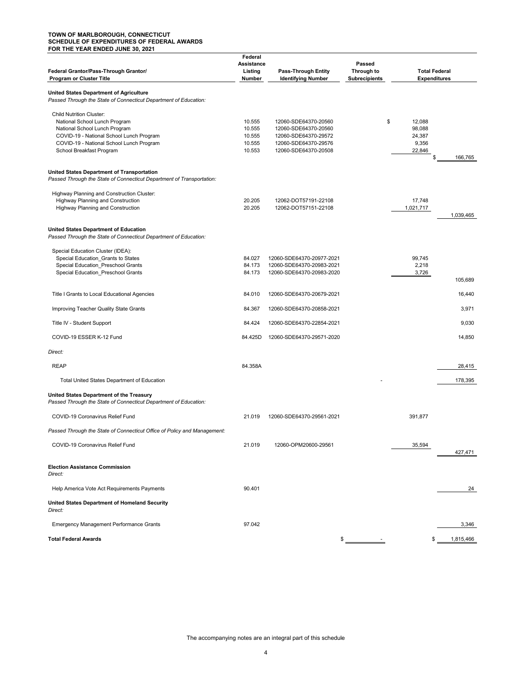#### **TOWN OF MARLBOROUGH, CONNECTICUT SCHEDULE OF EXPENDITURES OF FEDERAL AWARDS FOR THE YEAR ENDED JUNE 30, 2021**

|                                                                                                                            | Federal    |                            |                      |                      |           |
|----------------------------------------------------------------------------------------------------------------------------|------------|----------------------------|----------------------|----------------------|-----------|
|                                                                                                                            | Assistance |                            | Passed               |                      |           |
| Federal Grantor/Pass-Through Grantor/                                                                                      | Listing    | <b>Pass-Through Entity</b> | Through to           | <b>Total Federal</b> |           |
| Program or Cluster Title                                                                                                   | Number     | <b>Identifying Number</b>  | <b>Subrecipients</b> | <b>Expenditures</b>  |           |
|                                                                                                                            |            |                            |                      |                      |           |
| <b>United States Department of Agriculture</b><br>Passed Through the State of Connecticut Department of Education:         |            |                            |                      |                      |           |
| <b>Child Nutrition Cluster:</b>                                                                                            |            |                            |                      |                      |           |
| National School Lunch Program                                                                                              | 10.555     | 12060-SDE64370-20560       | \$                   | 12,088               |           |
| National School Lunch Program                                                                                              | 10.555     | 12060-SDE64370-20560       |                      | 98,088               |           |
| COVID-19 - National School Lunch Program                                                                                   | 10.555     | 12060-SDE64370-29572       |                      | 24,387               |           |
| COVID-19 - National School Lunch Program                                                                                   | 10.555     | 12060-SDE64370-29576       |                      | 9,356                |           |
| School Breakfast Program                                                                                                   | 10.553     | 12060-SDE64370-20508       |                      | 22,846               |           |
|                                                                                                                            |            |                            |                      | \$                   | 166,765   |
| <b>United States Department of Transportation</b><br>Passed Through the State of Connecticut Department of Transportation: |            |                            |                      |                      |           |
| Highway Planning and Construction Cluster:                                                                                 |            |                            |                      |                      |           |
| Highway Planning and Construction                                                                                          | 20.205     | 12062-DOT57191-22108       |                      | 17,748               |           |
| Highway Planning and Construction                                                                                          | 20.205     | 12062-DOT57151-22108       |                      | 1,021,717            |           |
|                                                                                                                            |            |                            |                      |                      | 1,039,465 |
| United States Department of Education<br>Passed Through the State of Connecticut Department of Education:                  |            |                            |                      |                      |           |
|                                                                                                                            |            |                            |                      |                      |           |
| Special Education Cluster (IDEA):                                                                                          |            |                            |                      |                      |           |
| Special Education_Grants to States                                                                                         | 84.027     | 12060-SDE64370-20977-2021  |                      | 99,745               |           |
| Special Education Preschool Grants                                                                                         | 84.173     | 12060-SDE64370-20983-2021  |                      | 2,218                |           |
| Special Education_Preschool Grants                                                                                         | 84.173     | 12060-SDE64370-20983-2020  |                      | 3,726                |           |
|                                                                                                                            |            |                            |                      |                      | 105,689   |
| Title I Grants to Local Educational Agencies                                                                               | 84.010     | 12060-SDE64370-20679-2021  |                      |                      | 16,440    |
| Improving Teacher Quality State Grants                                                                                     | 84.367     | 12060-SDE64370-20858-2021  |                      |                      | 3,971     |
|                                                                                                                            |            |                            |                      |                      |           |
| Title IV - Student Support                                                                                                 | 84.424     | 12060-SDE64370-22854-2021  |                      |                      | 9,030     |
| COVID-19 ESSER K-12 Fund                                                                                                   | 84.425D    | 12060-SDE64370-29571-2020  |                      |                      | 14,850    |
| Direct:                                                                                                                    |            |                            |                      |                      |           |
| <b>REAP</b>                                                                                                                | 84.358A    |                            |                      |                      | 28,415    |
| Total United States Department of Education                                                                                |            |                            |                      |                      | 178,395   |
| United States Department of the Treasury                                                                                   |            |                            |                      |                      |           |
| Passed Through the State of Connecticut Department of Education:                                                           |            |                            |                      |                      |           |
| COVID-19 Coronavirus Relief Fund                                                                                           | 21.019     | 12060-SDE64370-29561-2021  |                      | 391,877              |           |
| Passed Through the State of Connecticut Office of Policy and Management:                                                   |            |                            |                      |                      |           |
| COVID-19 Coronavirus Relief Fund                                                                                           | 21.019     | 12060-OPM20600-29561       |                      | 35,594               |           |
|                                                                                                                            |            |                            |                      |                      | 427,471   |
| <b>Election Assistance Commission</b><br>Direct:                                                                           |            |                            |                      |                      |           |
| Help America Vote Act Requirements Payments                                                                                | 90.401     |                            |                      |                      | 24        |
| United States Department of Homeland Security<br>Direct:                                                                   |            |                            |                      |                      |           |
| Emergency Management Performance Grants                                                                                    | 97.042     |                            |                      |                      | 3,346     |
| <b>Total Federal Awards</b>                                                                                                |            | \$                         |                      |                      | 1,815,466 |

The accompanying notes are an integral part of this schedule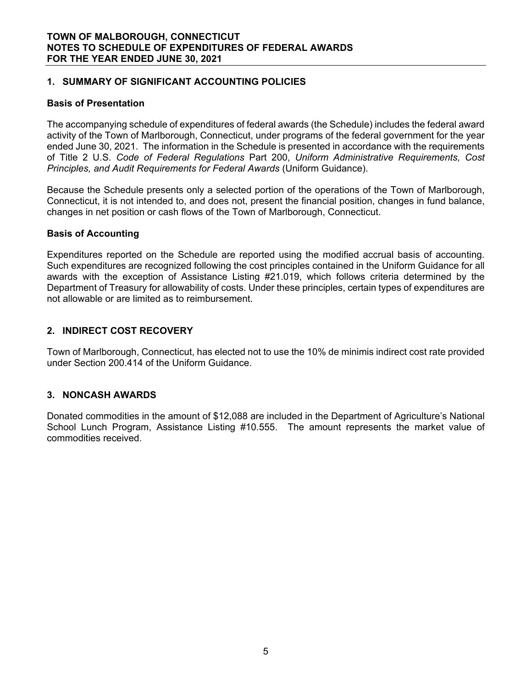### **1. SUMMARY OF SIGNIFICANT ACCOUNTING POLICIES**

#### **Basis of Presentation**

The accompanying schedule of expenditures of federal awards (the Schedule) includes the federal award activity of the Town of Marlborough, Connecticut, under programs of the federal government for the year ended June 30, 2021. The information in the Schedule is presented in accordance with the requirements of Title 2 U.S. *Code of Federal Regulations* Part 200, *Uniform Administrative Requirements, Cost Principles, and Audit Requirements for Federal Awards* (Uniform Guidance).

Because the Schedule presents only a selected portion of the operations of the Town of Marlborough, Connecticut, it is not intended to, and does not, present the financial position, changes in fund balance, changes in net position or cash flows of the Town of Marlborough, Connecticut.

## **Basis of Accounting**

Expenditures reported on the Schedule are reported using the modified accrual basis of accounting. Such expenditures are recognized following the cost principles contained in the Uniform Guidance for all awards with the exception of Assistance Listing #21.019, which follows criteria determined by the Department of Treasury for allowability of costs. Under these principles, certain types of expenditures are not allowable or are limited as to reimbursement.

## **2. INDIRECT COST RECOVERY**

Town of Marlborough, Connecticut, has elected not to use the 10% de minimis indirect cost rate provided under Section 200.414 of the Uniform Guidance.

## **3. NONCASH AWARDS**

Donated commodities in the amount of \$12,088 are included in the Department of Agriculture's National School Lunch Program, Assistance Listing #10.555. The amount represents the market value of commodities received.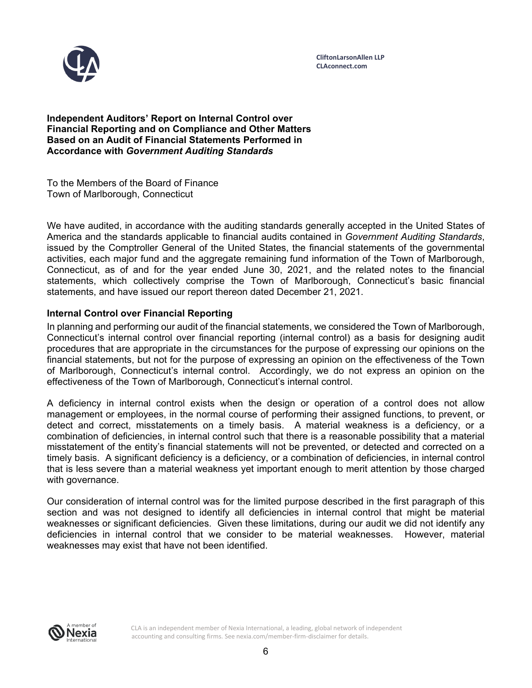

**CliftonLarsonAllen LLP CLAconnect.com**

**Independent Auditors' Report on Internal Control over Financial Reporting and on Compliance and Other Matters Based on an Audit of Financial Statements Performed in Accordance with** *Government Auditing Standards*

To the Members of the Board of Finance Town of Marlborough, Connecticut

We have audited, in accordance with the auditing standards generally accepted in the United States of America and the standards applicable to financial audits contained in *Government Auditing Standards*, issued by the Comptroller General of the United States, the financial statements of the governmental activities, each major fund and the aggregate remaining fund information of the Town of Marlborough, Connecticut, as of and for the year ended June 30, 2021, and the related notes to the financial statements, which collectively comprise the Town of Marlborough, Connecticut's basic financial statements, and have issued our report thereon dated December 21, 2021.

#### **Internal Control over Financial Reporting**

In planning and performing our audit of the financial statements, we considered the Town of Marlborough, Connecticut's internal control over financial reporting (internal control) as a basis for designing audit procedures that are appropriate in the circumstances for the purpose of expressing our opinions on the financial statements, but not for the purpose of expressing an opinion on the effectiveness of the Town of Marlborough, Connecticut's internal control. Accordingly, we do not express an opinion on the effectiveness of the Town of Marlborough, Connecticut's internal control.

A deficiency in internal control exists when the design or operation of a control does not allow management or employees, in the normal course of performing their assigned functions, to prevent, or detect and correct, misstatements on a timely basis. A material weakness is a deficiency, or a combination of deficiencies, in internal control such that there is a reasonable possibility that a material misstatement of the entity's financial statements will not be prevented, or detected and corrected on a timely basis. A significant deficiency is a deficiency, or a combination of deficiencies, in internal control that is less severe than a material weakness yet important enough to merit attention by those charged with governance.

Our consideration of internal control was for the limited purpose described in the first paragraph of this section and was not designed to identify all deficiencies in internal control that might be material weaknesses or significant deficiencies. Given these limitations, during our audit we did not identify any deficiencies in internal control that we consider to be material weaknesses. However, material weaknesses may exist that have not been identified.

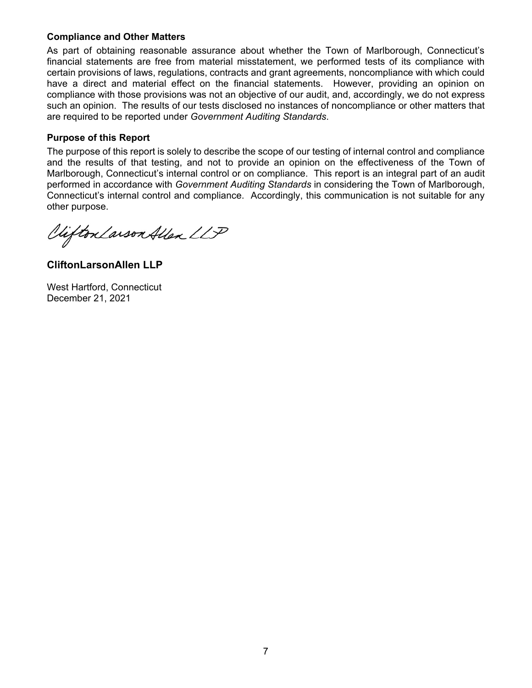#### **Compliance and Other Matters**

As part of obtaining reasonable assurance about whether the Town of Marlborough, Connecticut's financial statements are free from material misstatement, we performed tests of its compliance with certain provisions of laws, regulations, contracts and grant agreements, noncompliance with which could have a direct and material effect on the financial statements. However, providing an opinion on compliance with those provisions was not an objective of our audit, and, accordingly, we do not express such an opinion. The results of our tests disclosed no instances of noncompliance or other matters that are required to be reported under *Government Auditing Standards*.

#### **Purpose of this Report**

The purpose of this report is solely to describe the scope of our testing of internal control and compliance and the results of that testing, and not to provide an opinion on the effectiveness of the Town of Marlborough, Connecticut's internal control or on compliance. This report is an integral part of an audit performed in accordance with *Government Auditing Standards* in considering the Town of Marlborough, Connecticut's internal control and compliance. Accordingly, this communication is not suitable for any other purpose.

Viifton Larson Allen LLP

**CliftonLarsonAllen LLP** 

West Hartford, Connecticut December 21, 2021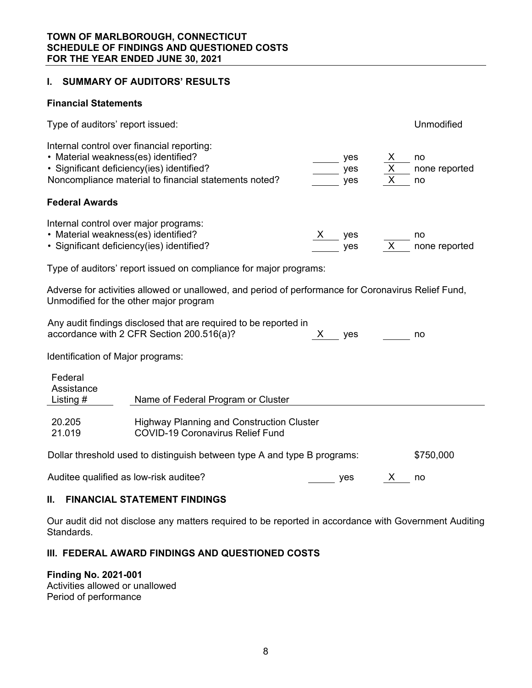## **I. SUMMARY OF AUDITORS' RESULTS**

#### **Financial Statements**

| Type of auditors' report issued:                                                                                                              |                                                                                                               |       |                                     |                | Unmodified                |  |  |
|-----------------------------------------------------------------------------------------------------------------------------------------------|---------------------------------------------------------------------------------------------------------------|-------|-------------------------------------|----------------|---------------------------|--|--|
| Internal control over financial reporting:<br>• Material weakness(es) identified?<br>· Significant deficiency(ies) identified?                | Noncompliance material to financial statements noted?                                                         |       | yes $\frac{x}{x}$                   |                | no<br>none reported<br>no |  |  |
| <b>Federal Awards</b>                                                                                                                         |                                                                                                               |       |                                     |                |                           |  |  |
| Internal control over major programs:<br>• Material weakness(es) identified?<br>· Significant deficiency(ies) identified?                     |                                                                                                               |       | $\frac{\mathsf{X}}{\mathsf{S}}$ yes | $\overline{x}$ | no<br>none reported       |  |  |
| Type of auditors' report issued on compliance for major programs:                                                                             |                                                                                                               |       |                                     |                |                           |  |  |
| Adverse for activities allowed or unallowed, and period of performance for Coronavirus Relief Fund,<br>Unmodified for the other major program |                                                                                                               |       |                                     |                |                           |  |  |
|                                                                                                                                               | Any audit findings disclosed that are required to be reported in<br>accordance with 2 CFR Section 200.516(a)? | X yes |                                     |                | no                        |  |  |
| Identification of Major programs:                                                                                                             |                                                                                                               |       |                                     |                |                           |  |  |
| Federal<br>Assistance<br>Listing $#$                                                                                                          | Name of Federal Program or Cluster                                                                            |       |                                     |                |                           |  |  |
| 20.205<br>21.019                                                                                                                              | <b>Highway Planning and Construction Cluster</b><br><b>COVID-19 Coronavirus Relief Fund</b>                   |       |                                     |                |                           |  |  |
| \$750,000<br>Dollar threshold used to distinguish between type A and type B programs:                                                         |                                                                                                               |       |                                     |                |                           |  |  |
| Auditee qualified as low-risk auditee?                                                                                                        |                                                                                                               |       | yes                                 | X —            | no                        |  |  |

#### **II. FINANCIAL STATEMENT FINDINGS**

Our audit did not disclose any matters required to be reported in accordance with Government Auditing Standards.

#### **III. FEDERAL AWARD FINDINGS AND QUESTIONED COSTS**

#### **Finding No. 2021-001**

Activities allowed or unallowed Period of performance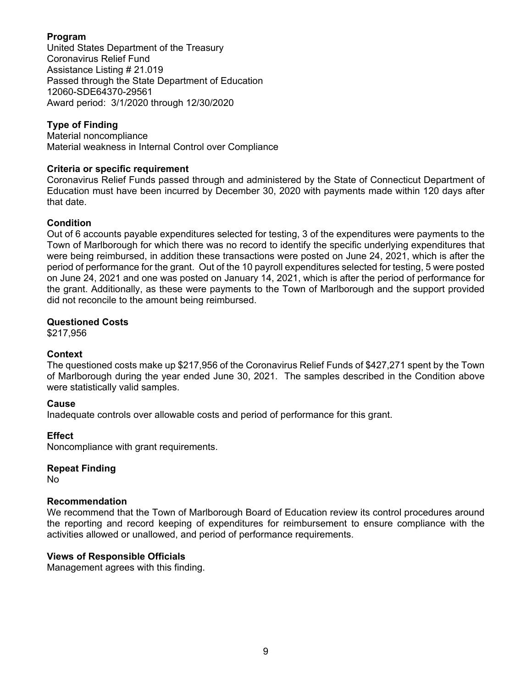## **Program**

United States Department of the Treasury Coronavirus Relief Fund Assistance Listing # 21.019 Passed through the State Department of Education 12060-SDE64370-29561 Award period: 3/1/2020 through 12/30/2020

## **Type of Finding**

Material noncompliance Material weakness in Internal Control over Compliance

## **Criteria or specific requirement**

Coronavirus Relief Funds passed through and administered by the State of Connecticut Department of Education must have been incurred by December 30, 2020 with payments made within 120 days after that date.

## **Condition**

Out of 6 accounts payable expenditures selected for testing, 3 of the expenditures were payments to the Town of Marlborough for which there was no record to identify the specific underlying expenditures that were being reimbursed, in addition these transactions were posted on June 24, 2021, which is after the period of performance for the grant. Out of the 10 payroll expenditures selected for testing, 5 were posted on June 24, 2021 and one was posted on January 14, 2021, which is after the period of performance for the grant. Additionally, as these were payments to the Town of Marlborough and the support provided did not reconcile to the amount being reimbursed.

#### **Questioned Costs**

\$217,956

#### **Context**

The questioned costs make up \$217,956 of the Coronavirus Relief Funds of \$427,271 spent by the Town of Marlborough during the year ended June 30, 2021. The samples described in the Condition above were statistically valid samples.

#### **Cause**

Inadequate controls over allowable costs and period of performance for this grant.

#### **Effect**

Noncompliance with grant requirements.

#### **Repeat Finding**

No

#### **Recommendation**

We recommend that the Town of Marlborough Board of Education review its control procedures around the reporting and record keeping of expenditures for reimbursement to ensure compliance with the activities allowed or unallowed, and period of performance requirements.

#### **Views of Responsible Officials**

Management agrees with this finding.